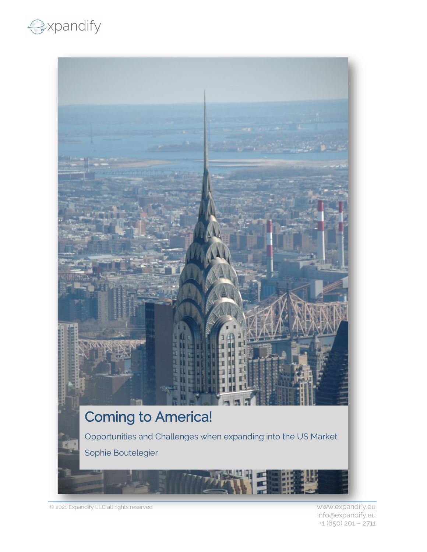## expandify



© 2021 Expandify LLC all rights reserved [www.expandify.eu](http://www.expandify.eu/)

 [Info@expandify.eu](mailto:Info@expandify.eu) +1 (650) 201 – 2711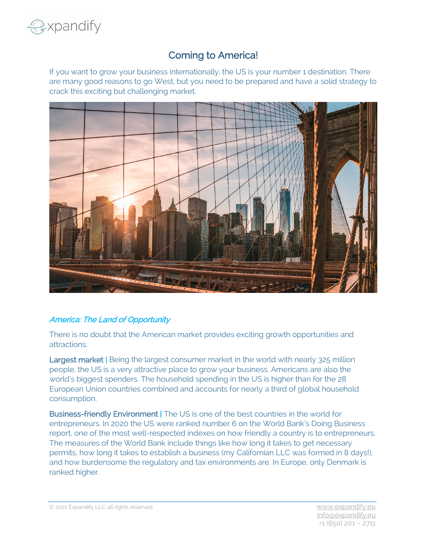

## Coming to America!

If you want to grow your business internationally, the US is your number 1 destination. There are many good reasons to go West, but you need to be prepared and have a solid strategy to crack this exciting but challenging market.



## America: The Land of Opportunity

There is no doubt that the American market provides exciting growth opportunities and attractions.

Largest market | Being the largest consumer market in the world with nearly 325 million people, the US is a very attractive place to grow your business. Americans are also the world's biggest spenders. The household spending in the US is higher than for the 28 European Union countries combined and accounts for nearly a third of global household consumption.

Business-friendly Environment | The US is one of the best countries in the world for entrepreneurs. In 2020 the US were ranked number 6 on the World Bank's Doing Business report, one of the most well-respected indexes on how friendly a country is to entrepreneurs. The measures of the World Bank include things like how long it takes to get necessary permits, how long it takes to establish a business (my Californian LLC was formed in 8 days!), and how burdensome the regulatory and tax environments are. In Europe, only Denmark is ranked higher.

© 2021 Expandify LLC all rights reserved [www.expandify.eu](http://www.expandify.eu/)

 [Info@expandify.eu](mailto:Info@expandify.eu) +1 (650) 201 – 2711